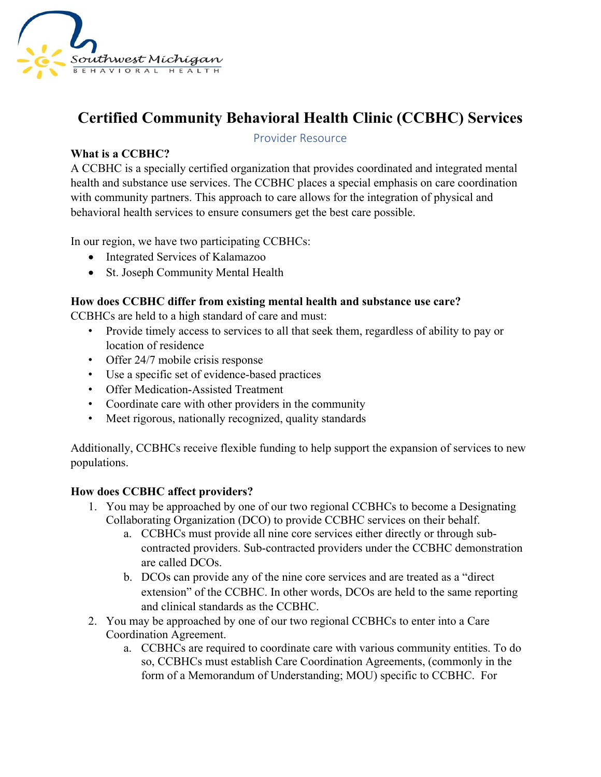

# **Certified Community Behavioral Health Clinic (CCBHC) Services**

## Provider Resource

## **What is a CCBHC?**

A CCBHC is a specially certified organization that provides coordinated and integrated mental health and substance use services. The CCBHC places a special emphasis on care coordination with community partners. This approach to care allows for the integration of physical and behavioral health services to ensure consumers get the best care possible.

In our region, we have two participating CCBHCs:

- Integrated Services of Kalamazoo
- St. Joseph Community Mental Health

#### **How does CCBHC differ from existing mental health and substance use care?**

CCBHCs are held to a high standard of care and must:

- Provide timely access to services to all that seek them, regardless of ability to pay or location of residence
- Offer 24/7 mobile crisis response
- Use a specific set of evidence-based practices
- Offer Medication-Assisted Treatment
- Coordinate care with other providers in the community
- Meet rigorous, nationally recognized, quality standards

Additionally, CCBHCs receive flexible funding to help support the expansion of services to new populations.

#### **How does CCBHC affect providers?**

- 1. You may be approached by one of our two regional CCBHCs to become a Designating Collaborating Organization (DCO) to provide CCBHC services on their behalf.
	- a. CCBHCs must provide all nine core services either directly or through subcontracted providers. Sub-contracted providers under the CCBHC demonstration are called DCOs.
	- b. DCOs can provide any of the nine core services and are treated as a "direct extension" of the CCBHC. In other words, DCOs are held to the same reporting and clinical standards as the CCBHC.
- 2. You may be approached by one of our two regional CCBHCs to enter into a Care Coordination Agreement.
	- a. CCBHCs are required to coordinate care with various community entities. To do so, CCBHCs must establish Care Coordination Agreements, (commonly in the form of a Memorandum of Understanding; MOU) specific to CCBHC. For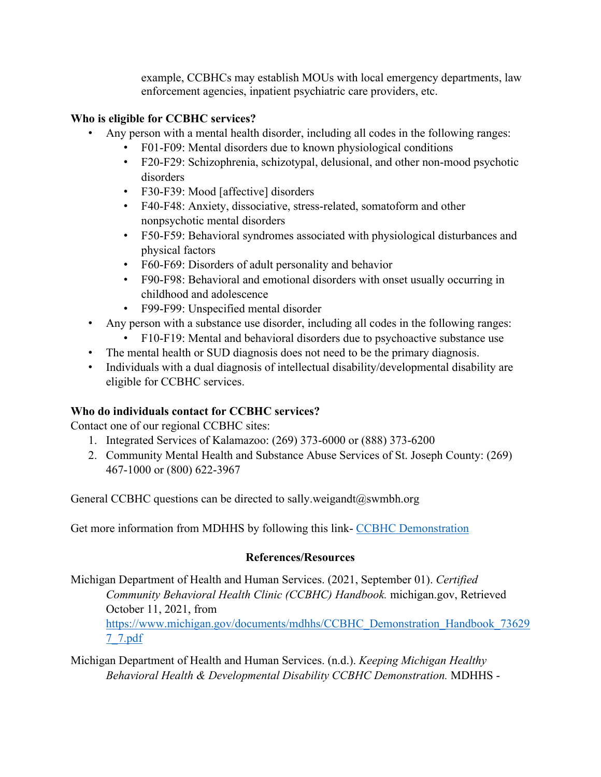example, CCBHCs may establish MOUs with local emergency departments, law enforcement agencies, inpatient psychiatric care providers, etc.

## **Who is eligible for CCBHC services?**

- Any person with a mental health disorder, including all codes in the following ranges:
	- [F01-F09:](https://www.icd10data.com/ICD10CM/Codes/F01-F99/F01-F09) Mental disorders due to known physiological conditions
	- [F20-F29:](https://www.icd10data.com/ICD10CM/Codes/F01-F99/F20-F29) Schizophrenia, schizotypal, delusional, and other non-mood psychotic disorders
	- [F30-F39:](https://www.icd10data.com/ICD10CM/Codes/F01-F99/F30-F39) Mood [affective] disorders
	- [F40-F48:](https://www.icd10data.com/ICD10CM/Codes/F01-F99/F40-F48) Anxiety, dissociative, stress-related, somatoform and other nonpsychotic mental disorders
	- [F50-F59:](https://www.icd10data.com/ICD10CM/Codes/F01-F99/F50-F59) Behavioral syndromes associated with physiological disturbances and physical factors
	- [F60-F69:](https://www.icd10data.com/ICD10CM/Codes/F01-F99/F60-F69) Disorders of adult personality and behavior
	- [F90-F98:](https://www.icd10data.com/ICD10CM/Codes/F01-F99/F90-F98) Behavioral and emotional disorders with onset usually occurring in childhood and adolescence
	- [F99-F99:](https://www.icd10data.com/ICD10CM/Codes/F01-F99/F99-F99) Unspecified mental disorder
- Any person with a substance use disorder, including all codes in the following ranges:
	- [F10-F19:](https://www.icd10data.com/ICD10CM/Codes/F01-F99/F10-F19) Mental and behavioral disorders due to psychoactive substance use
- The mental health or SUD diagnosis does not need to be the primary diagnosis.
- Individuals with a dual diagnosis of intellectual disability/developmental disability are eligible for CCBHC services.

# **Who do individuals contact for CCBHC services?**

Contact one of our regional CCBHC sites:

- 1. Integrated Services of Kalamazoo: (269) 373-6000 or (888) 373-6200
- 2. Community Mental Health and Substance Abuse Services of St. Joseph County: (269) 467-1000 or (800) 622-3967

General CCBHC questions can be directed to sally.weigandt@swmbh.org

Get more information from MDHHS by following this link-[CCBHC Demonstration](https://www.michigan.gov/mdhhs/0,5885,7-339-71550_2941_105734---,00.html.)

# **References/Resources**

Michigan Department of Health and Human Services. (2021, September 01). *Certified Community Behavioral Health Clinic (CCBHC) Handbook.* michigan.gov, Retrieved October 11, 2021, from [https://www.michigan.gov/documents/mdhhs/CCBHC\\_Demonstration\\_Handbook\\_73629](https://www.michigan.gov/documents/mdhhs/CCBHC_Demonstration_Handbook_736297_7.pdf) [7\\_7.pdf](https://www.michigan.gov/documents/mdhhs/CCBHC_Demonstration_Handbook_736297_7.pdf)

Michigan Department of Health and Human Services. (n.d.). *Keeping Michigan Healthy Behavioral Health & Developmental Disability CCBHC Demonstration.* MDHHS -